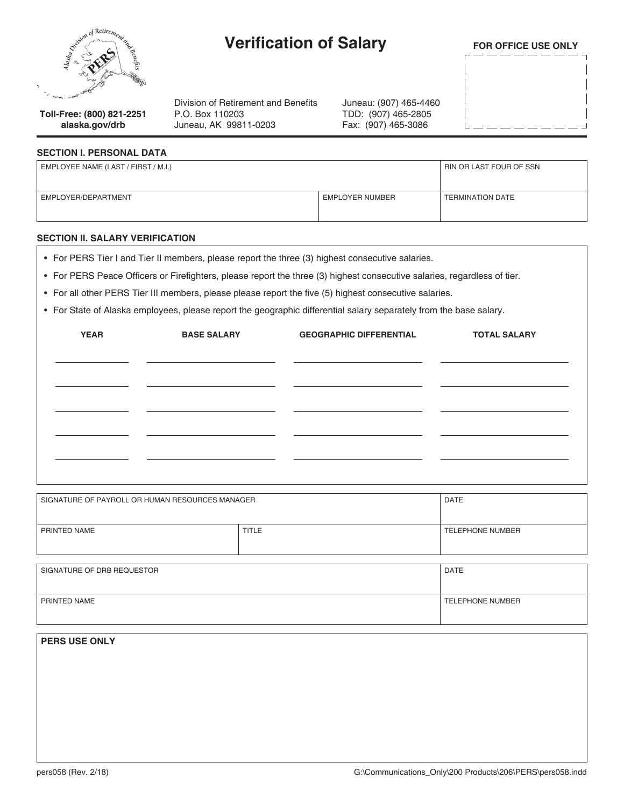

**alaska.gov/drb**

# **Verification of Salary**

**FOR OFFICE USE ONLY**

**Toll-Free: (800) 821-2251** Division of Retirement and Benefits P.O. Box 110203 Juneau, AK 99811-0203

Juneau: (907) 465-4460 TDD: (907) 465-2805 Fax: (907) 465-3086

## **SECTION I. PERSONAL DATA**

| EMPLOYEE NAME (LAST / FIRST / M.I.) | RIN OR LAST FOUR OF SSN |                         |
|-------------------------------------|-------------------------|-------------------------|
| EMPLOYER/DEPARTMENT                 | <b>EMPLOYER NUMBER</b>  | <b>TERMINATION DATE</b> |

### **SECTION II. SALARY VERIFICATION**

- For PERS Tier I and Tier II members, please report the three (3) highest consecutive salaries.
- For PERS Peace Officers or Firefighters, please report the three (3) highest consecutive salaries, regardless of tier.
- For all other PERS Tier III members, please please report the five (5) highest consecutive salaries.
- For State of Alaska employees, please report the geographic differential salary separately from the base salary.

| <b>YEAR</b> | <b>BASE SALARY</b> | <b>GEOGRAPHIC DIFFERENTIAL</b> | <b>TOTAL SALARY</b> |
|-------------|--------------------|--------------------------------|---------------------|
|             |                    |                                |                     |
|             |                    |                                |                     |
|             |                    |                                |                     |
|             |                    |                                |                     |
|             |                    |                                |                     |
|             |                    |                                |                     |

| SIGNATURE OF PAYROLL OR HUMAN RESOURCES MANAGER |       | <b>DATE</b>             |
|-------------------------------------------------|-------|-------------------------|
| PRINTED NAME                                    | TITLE | <b>TELEPHONE NUMBER</b> |

| SIGNATURE OF DRB REQUESTOR | DATE                    |
|----------------------------|-------------------------|
| PRINTED NAME               | <b>TELEPHONE NUMBER</b> |

**PERS USE ONLY**